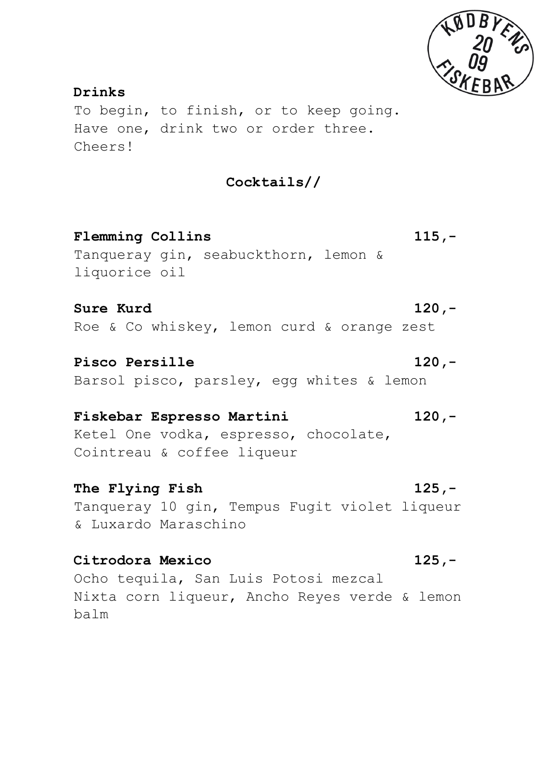

**Drinks** To begin, to finish, or to keep going. Have one, drink two or order three. Cheers!

**Cocktails//**

**Flemming Collins 115,-** Tanqueray gin, seabuckthorn, lemon & liquorice oil

**Sure Kurd 120,-** Roe & Co whiskey, lemon curd & orange zest

**Pisco Persille 120,-** Barsol pisco, parsley, egg whites & lemon

# **Fiskebar Espresso Martini 120,-** Ketel One vodka, espresso, chocolate,

Cointreau & coffee liqueur

**The Flying Fish 125,-** Tanqueray 10 gin, Tempus Fugit violet liqueur & Luxardo Maraschino

**Citrodora Mexico 125,-** Ocho tequila, San Luis Potosi mezcal Nixta corn liqueur, Ancho Reyes verde & lemon balm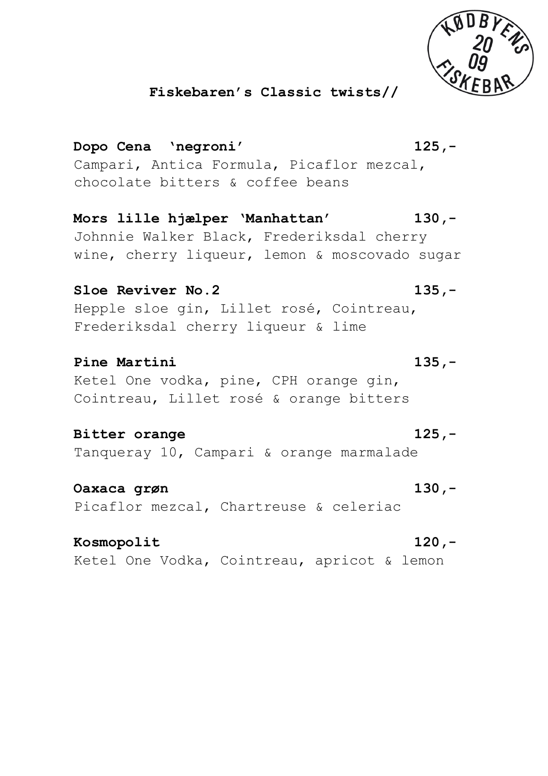

### **Fiskebaren's Classic twists//**

**Dopo Cena 'negroni' 125,-** Campari, Antica Formula, Picaflor mezcal, chocolate bitters & coffee beans **Mors lille hjælper 'Manhattan' 130,-** Johnnie Walker Black, Frederiksdal cherry

wine, cherry liqueur, lemon & moscovado sugar

**Sloe Reviver No.2 135,-** Hepple sloe gin, Lillet rosé, Cointreau, Frederiksdal cherry liqueur & lime

**Pine Martini 135,-** Ketel One vodka, pine, CPH orange gin, Cointreau, Lillet rosé & orange bitters

**Bitter orange 125,-** Tanqueray 10, Campari & orange marmalade

**Oaxaca grøn 130,-** Picaflor mezcal, Chartreuse & celeriac

**Kosmopolit 120,-** Ketel One Vodka, Cointreau, apricot & lemon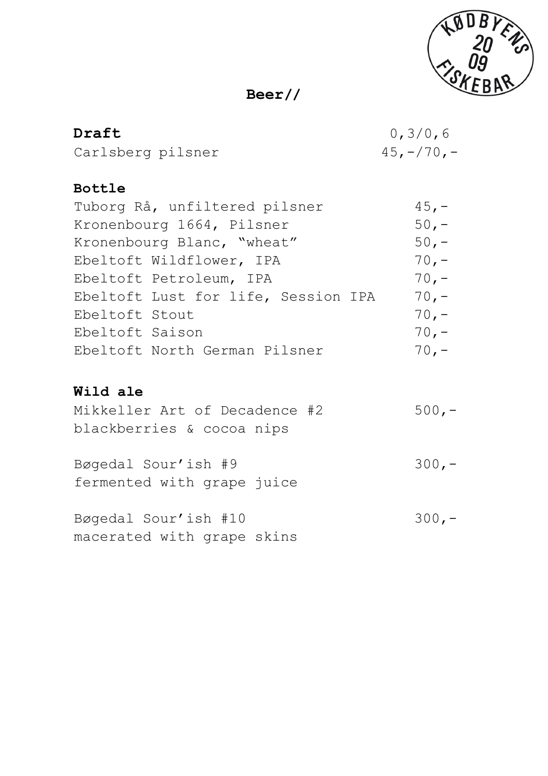

# **Beer//**

| Draft             | 0, 3/0, 6     |
|-------------------|---------------|
| Carlsberg pilsner | $45, -/70, -$ |

# **Bottle**

| Tuborg Rå, unfiltered pilsner       | $45, -$ |
|-------------------------------------|---------|
| Kronenbourg 1664, Pilsner           | $50 -$  |
| Kronenbourg Blanc, "wheat"          | $50, -$ |
| Ebeltoft Wildflower, IPA            | $70, -$ |
| Ebeltoft Petroleum, IPA             | $70, -$ |
| Ebeltoft Lust for life, Session IPA | $70. -$ |
| Ebeltoft Stout                      | $70. -$ |
| Ebeltoft Saison                     | $70. -$ |
| Ebeltoft North German Pilsner       | $70 -$  |

# **Wild ale**

| Mikkeller Art of Decadence #2 | $500 -$ |
|-------------------------------|---------|
| blackberries & cocoa nips     |         |
|                               |         |
| Bøgedal Sour'ish #9           | $300 -$ |
| fermented with grape juice    |         |
|                               |         |
| Bøgedal Sour'ish #10          | $300 -$ |
| macerated with grape skins    |         |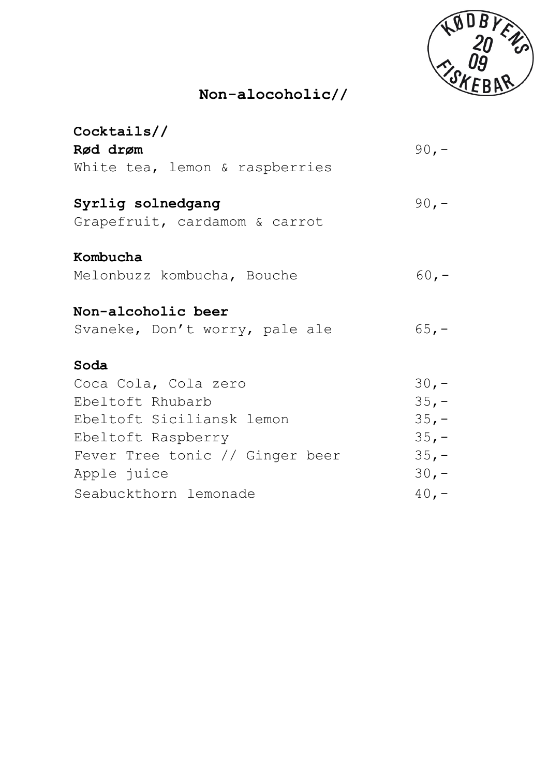

# **Non-alocoholic//**

| Cocktails/                      |         |
|---------------------------------|---------|
| Rød drøm                        | $90 -$  |
| White tea, lemon & raspberries  |         |
| Syrlig solnedgang               | $90, -$ |
| Grapefruit, cardamom & carrot   |         |
| Kombucha                        |         |
| Melonbuzz kombucha, Bouche      | $60, -$ |
| Non-alcoholic beer              |         |
| Svaneke, Don't worry, pale ale  | $65, -$ |
| Soda                            |         |
| Coca Cola, Cola zero            | $30 -$  |
| Ebeltoft Rhubarb                | $35, -$ |
| Ebeltoft Siciliansk lemon       | $35, -$ |
| Ebeltoft Raspberry              | $35, -$ |
| Fever Tree tonic // Ginger beer | $35, -$ |
| Apple juice                     | $30, -$ |
| Seabuckthorn lemonade           | $40, -$ |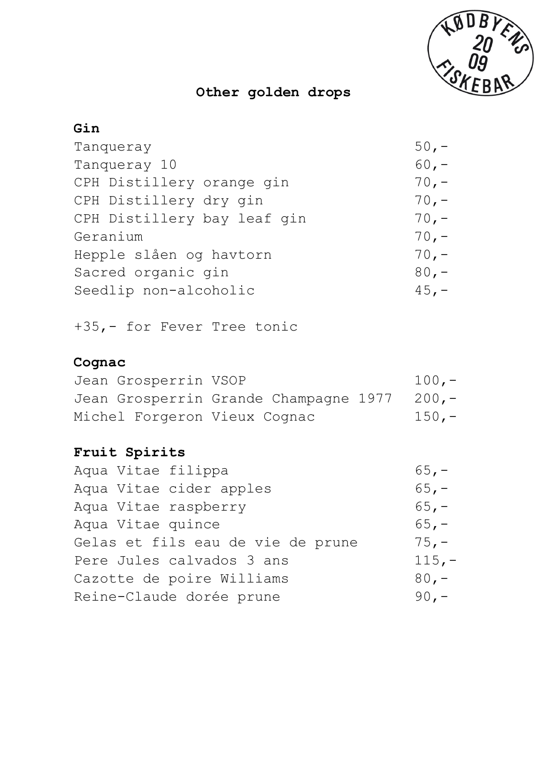

# **Other golden drops**

## **Gin**

| Tanqueray                   | $50, -$ |
|-----------------------------|---------|
| Tanqueray 10                | $60, -$ |
| CPH Distillery orange gin   | $70, -$ |
| CPH Distillery dry gin      | $70, -$ |
| CPH Distillery bay leaf gin | $70, -$ |
| Geranium                    | $70, -$ |
| Hepple slåen og havtorn     | $70, -$ |
| Sacred organic gin          | $80, -$ |
| Seedlip non-alcoholic       | $45, -$ |
|                             |         |

+35,- for Fever Tree tonic

# **Cognac**

| Jean Grosperrin VSOP         |                                             | $100 -$ |
|------------------------------|---------------------------------------------|---------|
|                              | Jean Grosperrin Grande Champagne 1977 200,- |         |
| Michel Forgeron Vieux Cognac |                                             | $150 -$ |

# **Fruit Spirits**

| Aqua Vitae filippa                | $65, -$  |
|-----------------------------------|----------|
| Aqua Vitae cider apples           | $65, -$  |
| Aqua Vitae raspberry              | $65, -$  |
| Aqua Vitae quince                 | $65. -$  |
| Gelas et fils eau de vie de prune | $75, -$  |
| Pere Jules calvados 3 ans         | $115, -$ |
| Cazotte de poire Williams         | $80 -$   |
| Reine-Claude dorée prune          | $90 -$   |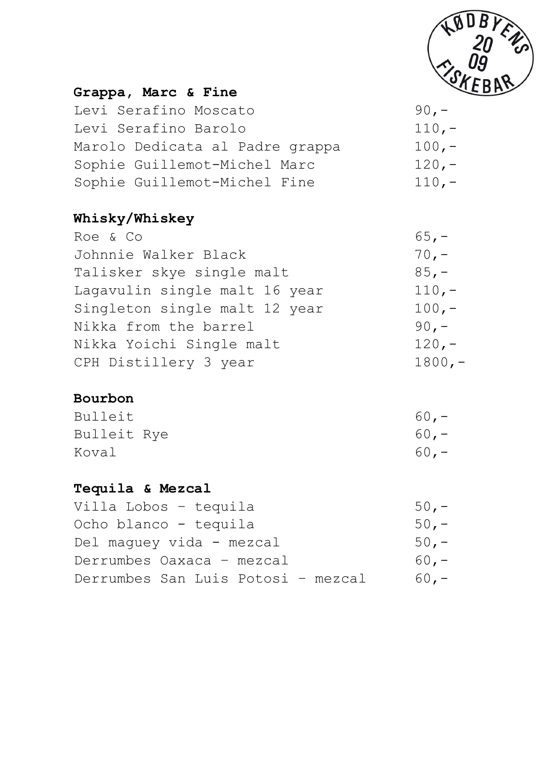

## **Grappa, Marc & Fine**

| Levi Serafino Moscato           | 90. $-$ |
|---------------------------------|---------|
| Levi Serafino Barolo            | $110 -$ |
| Marolo Dedicata al Padre grappa | $100 -$ |
| Sophie Guillemot-Michel Marc    | $120 -$ |
| Sophie Guillemot-Michel Fine    | $110 -$ |

# **Whisky/Whiskey**

| Roe & Co                      | $65, -$  |
|-------------------------------|----------|
| Johnnie Walker Black          | $70, -$  |
| Talisker skye single malt     | $85,-$   |
| Lagavulin single malt 16 year | $110, -$ |
| Singleton single malt 12 year | $100, -$ |
| Nikka from the barrel         | $90 -$   |
| Nikka Yoichi Single malt      | $120, -$ |
| CPH Distillery 3 year         | $1800,-$ |

# **Bourbon**

| Bulleit     | $60 -$ |
|-------------|--------|
| Bulleit Rye | $60 -$ |
| Koval       | $60 -$ |

### **Tequila & Mezcal**

| Villa Lobos - tequila<br>$50 -$              |  |
|----------------------------------------------|--|
| Ocho blanco – tequila<br>$50 -$              |  |
| Del maquey vida - mezcal<br>$50 -$           |  |
| Derrumbes Oaxaca - mezcal<br>$60 -$          |  |
| Derrumbes San Luis Potosi - mezcal<br>$60 -$ |  |